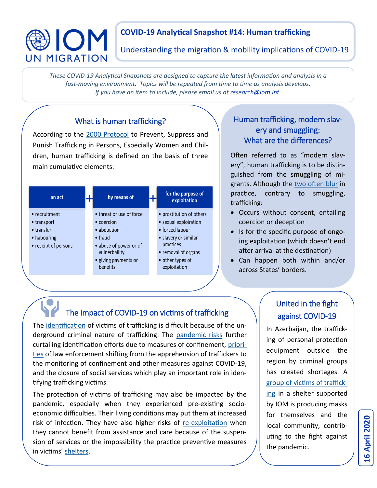# DION UN MIGRATION

### **COVID-19 Analytical Snapshot #14: Human trafficking**

Understanding the migration & mobility implications of COVID-19

*These COVID-19 Analytical Snapshots are designed to capture the latest information and analysis in a fast-moving environment. Topics will be repeated from time to time as analysis develops. If you have an item to include, please email us at research@iom.int.*

### What is human trafficking?

According to the [2000 Protocol](https://www.ohchr.org/en/professionalinterest/pages/protocoltraffickinginpersons.aspx) to Prevent, Suppress and Punish Trafficking in Persons, Especially Women and Children, human trafficking is defined on the basis of three main cumulative elements:



### Human trafficking, modern slavery and smuggling: What are the differences?

Often referred to as "modern slavery", human trafficking is to be distinguished from the smuggling of migrants. Although the [two often blur](https://www.unodc.org/unodc/en/human-trafficking/faqs-migrant-smuggling.html#Overlaps_and_differences) in practice, contrary to smuggling, trafficking:

- Occurs without consent, entailing coercion or deception
- Is for the specific purpose of ongoing exploitation (which doesn't end after arrival at the destination)
- Can happen both within and/or across States' borders.

# The impact of COVID-19 on victims of trafficking

The [identification](https://publications.iom.int/system/files/pdf/guidelinesforassistingvictims_en_a5.pdf) of victims of trafficking is difficult because of the underground criminal nature of trafficking. The [pandemic risks](https://rm.coe.int/greta-statement-covid19-en/16809e126a) further curtailing identification efforts due to measures of confinement, [priori](https://news.trust.org/item/20200317170106-u1tz8)[ties](https://news.trust.org/item/20200317170106-u1tz8) of law enforcement shifting from the apprehension of traffickers to the monitoring of confinement and other measures against COVID-19, and the closure of social services which play an important role in identifying trafficking victims.

The protection of victims of trafficking may also be impacted by the pandemic, especially when they experienced pre-existing socioeconomic difficulties. Their living conditions may put them at increased risk of infection. They have also higher risks of re-[exploitation](https://www.weforum.org/agenda/2020/04/covid19-modern-slavery/) when they cannot benefit from assistance and care because of the suspension of services or the impossibility the practice preventive measures in victims' [shelters.](https://www.independent.co.uk/news/uk/home-news/coronavirus-lockdown-sex-trafficking-modern-slavery-victim-safe-house-home-office-salvation-army-a9424736.html) 

### United in the fight against COVID-19

In Azerbaijan, the trafficking of personal protection equipment outside the region by criminal groups has created shortages. A [group of victims of traffick](https://www.iom.int/news/trafficking-victims-join-fight-against-covid-19-azerbaijan)[ing](https://www.iom.int/news/trafficking-victims-join-fight-against-covid-19-azerbaijan) in a shelter supported by IOM is producing masks for themselves and the local community, contributing to the fight against the pandemic.